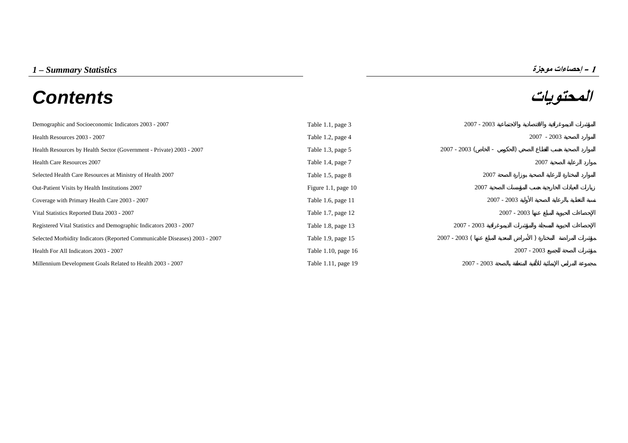# **المحتويات** *Contents*



| Demographic and Socioeconomic Indicators 2003 - 2007                       | Table 1.1, page 3     | $2007 - 2003$                               |               |
|----------------------------------------------------------------------------|-----------------------|---------------------------------------------|---------------|
| Health Resources 2003 - 2007                                               | Table 1.2, page 4     |                                             | $2007 - 2003$ |
| Health Resources by Health Sector (Government - Private) 2003 - 2007       | Table 1.3, page 5     | $2007 - 2003$ (<br>$\overline{\phantom{a}}$ |               |
| <b>Health Care Resources 2007</b>                                          | Table 1.4, page 7     |                                             | 2007          |
| Selected Health Care Resources at Ministry of Health 2007                  | Table 1.5, page 8     | 2007                                        |               |
| Out-Patient Visits by Health Institutions 2007                             | Figure 1.1, page $10$ | 2007                                        |               |
| Coverage with Primary Health Care 2003 - 2007                              | Table 1.6, page 11    | $2007 - 2003$                               |               |
| Vital Statistics Reported Data 2003 - 2007                                 | Table 1.7, page 12    |                                             | $2007 - 2003$ |
| Registered Vital Statistics and Demographic Indicators 2003 - 2007         | Table 1.8, page 13    | $2007 - 2003$                               |               |
| Selected Morbidity Indicators (Reported Communicable Diseases) 2003 - 2007 | Table 1.9, page 15    | $2007 - 2003$ (                             |               |
| Health For All Indicators 2003 - 2007                                      | Table 1.10, page 16   |                                             | $2007 - 2003$ |
| Millennium Development Goals Related to Health 2003 - 2007                 | Table 1.11, page 19   | $2007 - 2003$                               |               |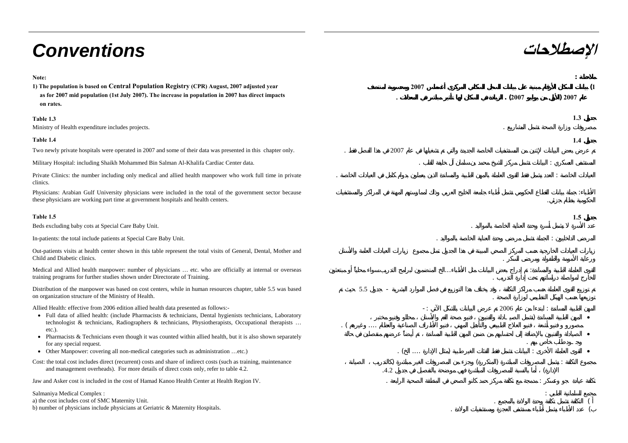# **الإصطلاحات** *Conventions*

| Note:<br>1) The population is based on Central Population Registry (CPR) August, 2007 adjusted year<br>as for 2007 mid population (1st July 2007). The increase in population in 2007 has direct impacts<br>on rates.                                                                                                                                                                                                                  | 2007            | (2007 | )2007 |
|----------------------------------------------------------------------------------------------------------------------------------------------------------------------------------------------------------------------------------------------------------------------------------------------------------------------------------------------------------------------------------------------------------------------------------------|-----------------|-------|-------|
| Table 1.3<br>Ministry of Health expenditure includes projects.                                                                                                                                                                                                                                                                                                                                                                         |                 |       | 1.3   |
| Table 1.4                                                                                                                                                                                                                                                                                                                                                                                                                              |                 |       | 1.4   |
| Two newly private hospitals were operated in 2007 and some of their data was presented in this chapter only.                                                                                                                                                                                                                                                                                                                           | 2007            |       |       |
| Military Hospital: including Shaikh Mohammed Bin Salman Al-Khalifa Cardiac Center data.                                                                                                                                                                                                                                                                                                                                                |                 |       |       |
| Private Clinics: the number including only medical and allied health manpower who work full time in private<br>clinics.                                                                                                                                                                                                                                                                                                                |                 |       |       |
| Physicians: Arabian Gulf University physicians were included in the total of the government sector because<br>these physicians are working part time at government hospitals and health centers.                                                                                                                                                                                                                                       |                 |       |       |
| Table 1.5                                                                                                                                                                                                                                                                                                                                                                                                                              |                 |       | 1.5   |
| Beds excluding baby cots at Special Care Baby Unit.                                                                                                                                                                                                                                                                                                                                                                                    |                 |       |       |
| In-patients: the total include patients at Special Care Baby Unit.                                                                                                                                                                                                                                                                                                                                                                     |                 |       |       |
| Out-patients visits at health center shown in this table represent the total visits of General, Dental, Mother and<br>Child and Diabetic clinics.                                                                                                                                                                                                                                                                                      |                 |       |       |
| Medical and Allied health manpower: number of physicians  etc. who are officially at internal or overseas<br>training programs for further studies shown under Directorate of Training.                                                                                                                                                                                                                                                | $\cdots$        |       |       |
| Distribution of the manpower was based on cost centers, while in human resources chapter, table 5.5 was based<br>on organization structure of the Ministry of Health.                                                                                                                                                                                                                                                                  | 5.5             |       |       |
| Allied Health: effective from 2006 edition allied health data presented as follows:-<br>• Full data of allied health: (include Pharmacists & technicians, Dental hygienists technicians, Laboratory<br>technologist & technicians, Radiographers & technicians, Physiotherapists, Occupational therapists<br>$etc.$ ).<br>• Pharmacists & Technicians even though it was counted within allied health, but it is also shown separately | - 1<br>$\cdots$ | 2006  |       |
| for any special request.<br>• Other Manpower: covering all non-medical categories such as administration etc.)                                                                                                                                                                                                                                                                                                                         | $\cdots$        |       |       |
| Cost: the total cost includes direct (recurrent) costs and share of indirect costs (such as training, maintenance<br>and management overheads). For more details of direct costs only, refer to table 4.2.                                                                                                                                                                                                                             | .4.2            |       |       |
| Jaw and Asker cost is included in the cost of Hamad Kanoo Health Center at Health Region IV.                                                                                                                                                                                                                                                                                                                                           |                 |       |       |
| Salmaniya Medical Complex:<br>a) the cost includes cost of SMC Maternity Unit.<br>b) number of physicians include physicians at Geriatric & Maternity Hospitals.                                                                                                                                                                                                                                                                       |                 |       |       |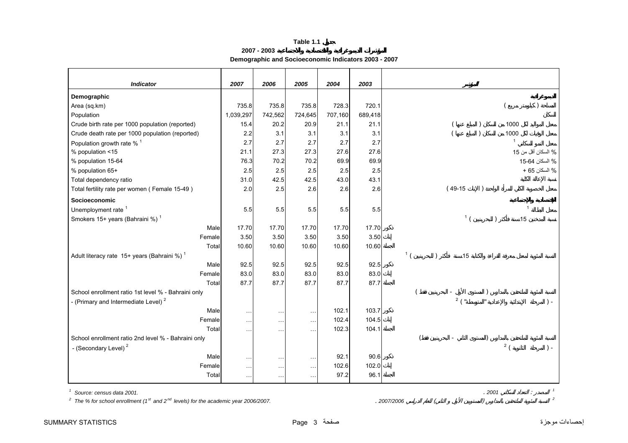**2007 - 2003**

## **Demographic and Socioeconomic Indicators 2003 - 2007**

<span id="page-2-0"></span>

| <b>Indicator</b>                                        | 2007            | 2006          | 2005          | 2004    | 2003    |                |                |       |                |                    |
|---------------------------------------------------------|-----------------|---------------|---------------|---------|---------|----------------|----------------|-------|----------------|--------------------|
| Demographic                                             |                 |               |               |         |         |                |                |       |                |                    |
| Area (sq.km)                                            | 735.8           | 735.8         | 735.8         | 728.3   | 720.1   |                |                |       |                |                    |
| Population                                              | 1,039,297       | 742,562       | 724,645       | 707,160 | 689,418 |                |                |       |                |                    |
| Crude birth rate per 1000 population (reported)         | 15.4            | 20.2          | 20.9          | 21.1    | 21.1    |                |                |       | 1000           |                    |
| Crude death rate per 1000 population (reported)         | 2.2             | 3.1           | 3.1           | 3.1     | 3.1     |                |                |       | 1000           |                    |
| Population growth rate % <sup>1</sup>                   | 2.7             | 2.7           | 2.7           | 2.7     | 2.7     |                |                |       | $\overline{1}$ |                    |
| % population <15                                        | 21.1            | 27.3          | 27.3          | 27.6    | 27.6    |                |                |       |                | % السكان أقل من 15 |
| % population 15-64                                      | 76.3            | 70.2          | 70.2          | 69.9    | 69.9    |                |                |       |                | % السكان 64-15     |
| % population 65+                                        | 2.5             | 2.5           | 2.5           | 2.5     | 2.5     |                |                |       |                | % السكان 65 +      |
| Total dependency ratio                                  | 31.0            | 42.5          | 42.5          | 43.0    | 43.1    |                |                |       |                |                    |
| Total fertility rate per women (Female 15-49)           | 2.0             | 2.5           | 2.6           | 2.6     | 2.6     |                | $(49-15)$      |       |                |                    |
| Socioeconomic                                           |                 |               |               |         |         |                |                |       |                |                    |
| Unemployment rate <sup>1</sup>                          | 5.5             | 5.5           | 5.5           | 5.5     | 5.5     |                |                |       | $\overline{1}$ |                    |
| Smokers 15+ years (Bahraini %) <sup>1</sup>             |                 |               |               |         |         |                | 1 <sup>1</sup> |       | 15             |                    |
| Male                                                    | 17.70           | 17.70         | 17.70         | 17.70   | 17.70   |                |                |       |                |                    |
| Female                                                  | 3.50            | 3.50          | 3.50          | 3.50    | 3.50    |                |                |       |                |                    |
| Total                                                   | 10.60           | 10.60         | 10.60         | 10.60   | 10.60   |                |                |       |                |                    |
| Adult literacy rate 15+ years (Bahraini %) <sup>1</sup> |                 |               |               |         |         | 1 <sup>1</sup> | 15             |       |                |                    |
| Male                                                    | 92.5            | 92.5          | 92.5          | 92.5    | 92.5    |                |                |       |                |                    |
| Female                                                  | 83.0            | 83.0          | 83.0          | 83.0    | 83.0    |                |                |       |                |                    |
| Total                                                   | 87.7            | 87.7          | 87.7          | 87.7    | 87.7    |                |                |       |                |                    |
| School enrollment ratio 1st level % - Bahraini only     |                 |               |               |         |         |                |                |       |                |                    |
| - (Primary and Intermediate Level) <sup>2</sup>         |                 |               |               |         |         |                | $2^{11}$       |       |                | $\vert$ -          |
| Male                                                    | $\ddotsc$       | $\ddotsc$     | $\sim$        | 102.1   | 103.7   |                |                |       |                |                    |
| Female                                                  | $\ddotsc$       | $\ddotsc$     | $\sim$        | 102.4   | 104.5   |                |                |       |                |                    |
| Total                                                   | $\ddotsc$       | $\ddotsc$     | $\sim$        | 102.3   | 104.1   |                |                |       |                |                    |
| School enrollment ratio 2nd level % - Bahraini only     |                 |               |               |         |         |                |                |       |                |                    |
| - (Secondary Level) <sup>2</sup>                        |                 |               |               |         |         |                |                |       | 2(             | $) -$              |
| Male                                                    | $\sim$ . $\sim$ | $\cdots$      | $\sim$ $\sim$ | 92.1    | 90.6    |                |                |       |                |                    |
| Female                                                  | $\sim$ . $\sim$ | $\sim$ $\sim$ | $\ddotsc$     | 102.6   | 102.0   |                |                |       |                |                    |
| Total                                                   | $\cdots$        | $\ddotsc$     | $\ddotsc$     | 97.2    | 96.1    |                |                |       |                |                    |
| Source: census data 2001.                               |                 |               |               |         |         |                |                | .2001 |                |                    |

 $2^2$  The % for school enrollment (1<sup>st</sup> and 2<sup>nd</sup> levels) for the academic year 2006/2007. **.** *2007/2006* ( ) **2** 

إحصاءات موجزة صفحة 3 Page STATISTICS SUMMARY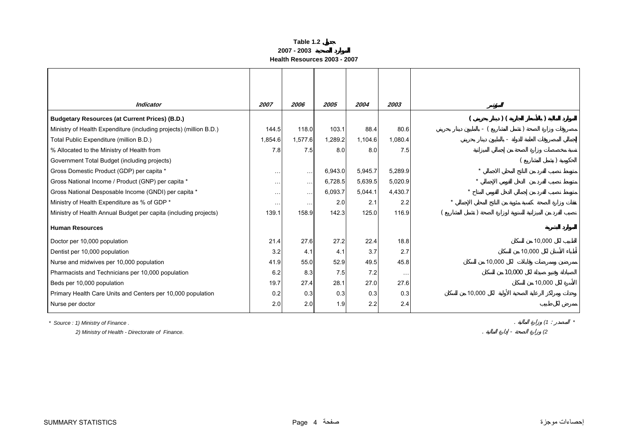#### **Table 1.2 2007 - 2003Health Resources 2003 - 2007**

<span id="page-3-0"></span>

| <b>Indicator</b>                                                   | 2007                 | 2006                 | 2005    | 2004    | 2003                 |                      |
|--------------------------------------------------------------------|----------------------|----------------------|---------|---------|----------------------|----------------------|
|                                                                    |                      |                      |         |         |                      |                      |
| <b>Budgetary Resources (at Current Prices) (B.D.)</b>              |                      |                      |         |         |                      | $)$ (                |
| Ministry of Health Expenditure (including projects) (million B.D.) | 144.5                | 118.0                | 103.1   | 88.4    | 80.6                 | - (                  |
| Total Public Expenditure (million B.D.)                            | 1,854.6              | 1,577.6              | 1,289.2 | 1,104.6 | 1,080.4              |                      |
| % Allocated to the Ministry of Health from                         | 7.8                  | 7.5                  | 8.0     | 8.0     | 7.5                  |                      |
| Government Total Budget (including projects)                       |                      |                      |         |         |                      |                      |
| Gross Domestic Product (GDP) per capita *                          | $\sim$ $\sim$ $\sim$ | $\sim$ $\sim$ $\sim$ | 6,943.0 | 5,945.7 | 5,289.9              | $\ddot{\phantom{1}}$ |
| Gross National Income / Product (GNP) per capita *                 | $\cdots$             | $\sim$ $\sim$ $\sim$ | 6,728.5 | 5,639.5 | 5,020.9              |                      |
| Gross National Desposable Income (GNDI) per capita *               | $\sim$ $\sim$ $\sim$ | $\sim$ $\sim$ $\sim$ | 6,093.7 | 5,044.1 | 4,430.7              |                      |
| Ministry of Health Expenditure as % of GDP *                       | $\cdots$             | $\cdots$             | 2.0     | 2.1     | 2.2                  |                      |
| Ministry of Health Annual Budget per capita (including projects)   | 139.1                | 158.9                | 142.3   | 125.0   | 116.9                |                      |
| <b>Human Resources</b>                                             |                      |                      |         |         |                      |                      |
| Doctor per 10,000 population                                       | 21.4                 | 27.6                 | 27.2    | 22.4    | 18.8                 | 10,000               |
| Dentist per 10,000 population                                      | 3.2                  | 4.1                  | 4.1     | 3.7     | 2.7                  | 10,000               |
| Nurse and midwives per 10,000 population                           | 41.9                 | 55.0                 | 52.9    | 49.5    | 45.8                 | 10,000               |
| Pharmacists and Technicians per 10,000 population                  | 6.2                  | 8.3                  | 7.5     | 7.2     | $\sim$ $\sim$ $\sim$ | 10,000               |
| Beds per 10,000 population                                         | 19.7                 | 27.4                 | 28.1    | 27.0    | 27.6                 | 10,000               |
| Primary Health Care Units and Centers per 10,000 population        | 0.2                  | 0.3                  | 0.3     | 0.3     | 0.3                  | 10,000               |
| Nurse per doctor                                                   | 2.0                  | 2.0                  | 1.9     | 2.2     | 2.4                  |                      |

*\* Source : 1) Ministry of Finance .* . *(1* : *\**

 *2) Ministry of Health - Directorate of Finance.* . - *(2*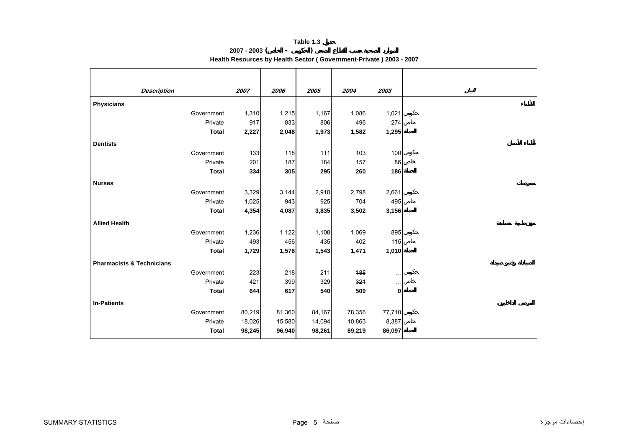### **Table 1.3 2007 - 2003 ( - )**

**Health Resources by Health Sector ( Government-Private ) 2003 - 2007**

<span id="page-4-0"></span>

| <b>Description</b>                   |              | 2007   | 2006   | 2005   | 2004   | 2003          |
|--------------------------------------|--------------|--------|--------|--------|--------|---------------|
| <b>Physicians</b>                    |              |        |        |        |        |               |
|                                      | Government   | 1,310  | 1,215  | 1,167  | 1,086  | 1,021         |
|                                      | Private      | 917    | 833    | 806    | 496    | 274           |
|                                      | <b>Total</b> | 2,227  | 2,048  | 1,973  | 1,582  | 1,295         |
| <b>Dentists</b>                      |              |        |        |        |        |               |
|                                      | Government   | 133    | 118    | 111    | 103    | 100           |
|                                      | Private      | 201    | 187    | 184    | 157    | 86            |
|                                      | <b>Total</b> | 334    | 305    | 295    | 260    | 186           |
| <b>Nurses</b>                        |              |        |        |        |        |               |
|                                      | Government   | 3,329  | 3,144  | 2,910  | 2,798  | 2,661         |
|                                      | Private      | 1,025  | 943    | 925    | 704    | 495           |
|                                      | <b>Total</b> | 4,354  | 4,087  | 3,835  | 3,502  | 3,156         |
| <b>Allied Health</b>                 |              |        |        |        |        |               |
|                                      | Government   | 1,236  | 1,122  | 1,108  | 1,069  | 895           |
|                                      | Private      | 493    | 456    | 435    | 402    | 115           |
|                                      | <b>Total</b> | 1,729  | 1,578  | 1,543  | 1,471  | 1,010         |
| <b>Pharmacists &amp; Technicians</b> |              |        |        |        |        |               |
|                                      | Government   | 223    | 218    | 211    | 488    | $\sim$ $\sim$ |
|                                      | Private      | 421    | 399    | 329    | 321    | $\cdots$      |
|                                      | Total        | 644    | 617    | 540    | 509    | $\mathbf{0}$  |
| <b>In-Patients</b>                   |              |        |        |        |        |               |
|                                      | Government   | 80,219 | 81,360 | 84,167 | 78,356 | 77,710        |
|                                      | Private      | 18,026 | 15,580 | 14,094 | 10,863 | 8,387         |
|                                      | <b>Total</b> | 98,245 | 96,940 | 98,261 | 89,219 | 86,097        |
|                                      |              |        |        |        |        |               |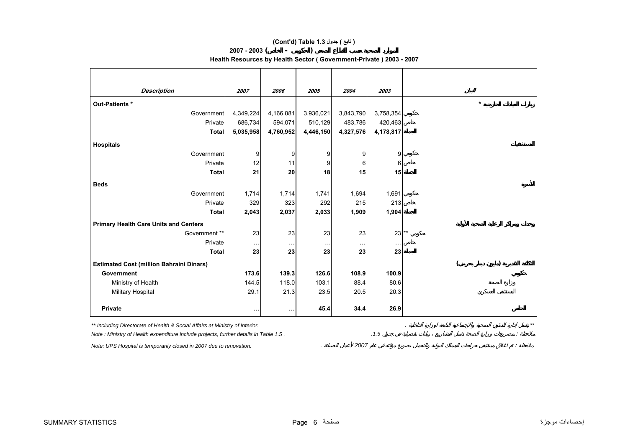## **(Cont'd) Table 1.3 جدول ) تابع(**

#### **2007 - 2003 ( - )**

## **Health Resources by Health Sector ( Government-Private ) 2003 - 2007**

| <b>Description</b>                                                                    | 2007      | 2006      | 2005      | 2004      | 2003      |  |         |  |
|---------------------------------------------------------------------------------------|-----------|-----------|-----------|-----------|-----------|--|---------|--|
| Out-Patients *                                                                        |           |           |           |           |           |  | $\star$ |  |
| Government                                                                            | 4,349,224 | 4,166,881 | 3,936,021 | 3,843,790 | 3,758,354 |  |         |  |
| Private                                                                               | 686,734   | 594,071   | 510,129   | 483,786   | 420,463   |  |         |  |
| <b>Total</b>                                                                          | 5,035,958 | 4,760,952 | 4,446,150 | 4,327,576 | 4,178,817 |  |         |  |
| <b>Hospitals</b>                                                                      |           |           |           |           |           |  |         |  |
| Government                                                                            | 9         | 9         | 9         | 9         | 9         |  |         |  |
| Private                                                                               | 12        | 11        | 9         |           | 6         |  |         |  |
| <b>Total</b>                                                                          | 21        | 20        | 18        | 15        | 15        |  |         |  |
| <b>Beds</b>                                                                           |           |           |           |           |           |  |         |  |
| Government                                                                            | 1,714     | 1,714     | 1,741     | 1,694     | 1,691     |  |         |  |
| Private                                                                               | 329       | 323       | 292       | 215       | 213       |  |         |  |
| <b>Total</b>                                                                          | 2,043     | 2,037     | 2,033     | 1,909     | 1,904     |  |         |  |
| <b>Primary Health Care Units and Centers</b>                                          |           |           |           |           |           |  |         |  |
| Government **                                                                         | 23        | 23        | 23        | 23        | $23$ **   |  |         |  |
| Private                                                                               | .         |           |           |           |           |  |         |  |
| <b>Total</b>                                                                          | 23        | 23        | 23        | 23        | 23        |  |         |  |
| <b>Estimated Cost (million Bahraini Dinars)</b>                                       |           |           |           |           |           |  |         |  |
| Government                                                                            | 173.6     | 139.3     | 126.6     | 108.9     | 100.9     |  |         |  |
| Ministry of Health                                                                    | 144.5     | 118.0     | 103.1     | 88.4      | 80.6      |  |         |  |
| Military Hospital                                                                     | 29.1      | 21.3      | 23.5      | 20.5      | 20.3      |  |         |  |
| <b>Private</b>                                                                        | $\cdots$  | $\cdots$  | 45.4      | 34.4      | 26.9      |  |         |  |
| ** Including Directorate of Health & Social Affairs at Ministry of Interior.          |           |           |           |           |           |  |         |  |
| Note : Ministry of Health expenditure include projects, further details in Table 1.5. |           |           |           |           | .1.5      |  |         |  |
| Note: UPS Hospital is temporarily closed in 2007 due to renovation.                   |           |           |           | 2007      |           |  |         |  |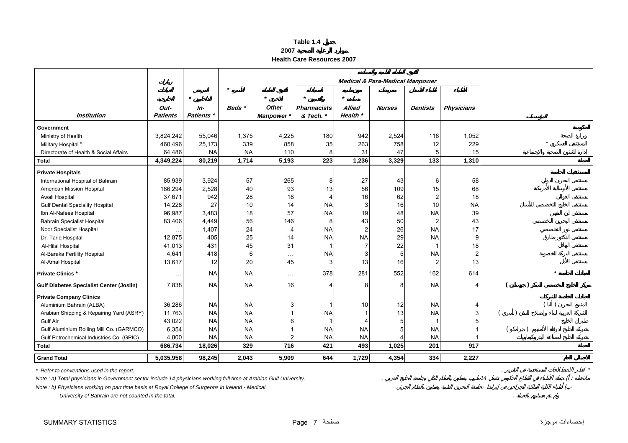<span id="page-6-0"></span>

|                                                 |                         |                     |           |              |                                 |                           | <b>Medical &amp; Para-Medical Manpower</b> |                 |                   |         |
|-------------------------------------------------|-------------------------|---------------------|-----------|--------------|---------------------------------|---------------------------|--------------------------------------------|-----------------|-------------------|---------|
|                                                 |                         | $\star$             |           |              | $\star$                         | $\star$                   |                                            |                 |                   |         |
|                                                 |                         |                     |           | <b>Other</b> |                                 |                           |                                            |                 |                   |         |
| <b>Institution</b>                              | Out-<br><b>Patients</b> | $In-$<br>Patients * | Beds *    | Manpower *   | <b>Pharmacists</b><br>& Tech. * | <b>Allied</b><br>Health * | <b>Nurses</b>                              | <b>Dentists</b> | <b>Physicians</b> |         |
|                                                 |                         |                     |           |              |                                 |                           |                                            |                 |                   |         |
| Government                                      |                         |                     |           |              |                                 |                           |                                            |                 |                   |         |
| Ministry of Health                              | 3,824,242               | 55,046              | 1,375     | 4,225        | 180                             | 942                       | 2,524                                      | 116             | 1,052             |         |
| Military Hospital*                              | 460,496                 | 25,173              | 339       | 858          | 35                              | 263                       | 758                                        | 12              | 229               | $\star$ |
| Directorate of Health & Social Affairs          | 64,486                  | <b>NA</b>           | <b>NA</b> | 110          | 8                               | 31                        | 47                                         |                 | 15                |         |
| Total                                           | 4,349,224               | 80,219              | 1,714     | 5,193        | 223                             | 1,236                     | 3,329                                      | 133             | 1,310             |         |
| <b>Private Hospitals</b>                        |                         |                     |           |              |                                 |                           |                                            |                 |                   |         |
| International Hospital of Bahrain               | 85,939                  | 3,924               | 57        | 265          | 8                               | 27                        | 43                                         | 6               | 58                |         |
| American Mission Hospital                       | 186,294                 | 2,528               | 40        | 93           | 13                              | 56                        | 109                                        | 15              | 68                |         |
| Awali Hospital                                  | 37,671                  | 942                 | 28        | 18           | $\overline{4}$                  | 16                        | 62                                         |                 | 18                |         |
| <b>Gulf Dental Speciality Hospital</b>          | 14,228                  | 27                  | 10        | 14           | <b>NA</b>                       | 3                         | 16                                         | 10              | <b>NA</b>         |         |
| Ibn Al-Nafees Hospital                          | 96,987                  | 3,483               | 18        | 57           | <b>NA</b>                       | 19                        | 48                                         | <b>NA</b>       | 39                |         |
| <b>Bahrain Specialist Hospital</b>              | 83,406                  | 4,449               | 56        | 146          | 8                               | 43                        | 50                                         |                 | 43                |         |
| Noor Specialist Hospital                        |                         | 1,407               | 24        | 4            | <b>NA</b>                       | $\overline{c}$            | 26                                         | <b>NA</b>       | 17                |         |
| Dr. Tariq Hospital                              | 12,875                  | 405                 | 25        | 14           | <b>NA</b>                       | <b>NA</b>                 | 29                                         | <b>NA</b>       | 9                 |         |
| Al-Hilal Hospital                               | 41,013                  | 431                 | 45        | 31           |                                 |                           | 22                                         |                 | 18                |         |
| Al-Baraka Fertility Hospital                    | 4,641                   | 418                 | 6         | $\cdots$     | <b>NA</b>                       | 3                         | 5                                          | <b>NA</b>       | $\overline{c}$    |         |
| Al-Amal Hospital                                | 13,617                  | 12                  | 20        | 45           | 3                               | 13                        | 16                                         | $\overline{2}$  | 13                |         |
| <b>Private Clinics *</b>                        |                         | <b>NA</b>           | <b>NA</b> |              | 378                             | 281                       | 552                                        | 162             | 614               |         |
|                                                 | $\ddotsc$               |                     |           | $\cdots$     |                                 |                           |                                            |                 |                   |         |
| <b>Gulf Diabetes Specialist Center (Joslin)</b> | 7,838                   | <b>NA</b>           | <b>NA</b> | 16           |                                 | 8                         | 8                                          | <b>NA</b>       | Δ                 |         |
| <b>Private Company Clinics</b>                  |                         |                     |           |              |                                 |                           |                                            |                 |                   |         |
| Aluminium Bahrain (ALBA)                        | 36,286                  | <b>NA</b>           | <b>NA</b> | 3            |                                 | 10                        | 12                                         | <b>NA</b>       |                   |         |
| Arabian Shipping & Repairing Yard (ASRY)        | 11,763                  | <b>NA</b>           | <b>NA</b> |              | <b>NA</b>                       |                           | 13                                         | <b>NA</b>       | 3                 |         |
| <b>Gulf Air</b>                                 | 43,022                  | <b>NA</b>           | <b>NA</b> | 6            |                                 |                           |                                            |                 |                   |         |
| Gulf Aluminium Rolling Mill Co. (GARMCO)        | 6,354                   | <b>NA</b>           | <b>NA</b> |              | <b>NA</b>                       | <b>NA</b>                 |                                            | <b>NA</b>       |                   |         |
| Gulf Petrochemical Industries Co. (GPIC)        | 4,800                   | <b>NA</b>           | <b>NA</b> |              | <b>NA</b>                       | <b>NA</b>                 |                                            | <b>NA</b>       |                   |         |
| <b>Total</b>                                    | 686,734                 | 18,026              | 329       | 716          | 421                             | 493                       | 1,025                                      | 201             | 917               |         |
| <b>Grand Total</b>                              | 5,035,958               | 98,245              | 2,043     | 5,909        | 644                             | 1,729                     | 4,354                                      | 334             | 2,227             |         |

**Health Care Resources 2007**

**2007**

*\* Refer to conventions used in the report.* . *\**

*Note : a)* Total physicians in Government sector include 14 physicians working full time at Arabian Gulf University. <br>
(2008)

*Note : b) Physicians working on part time basis at Royal College of Surgeons in Ireland - Medical* - (

 *University of Bahrain are not counted in the total.* .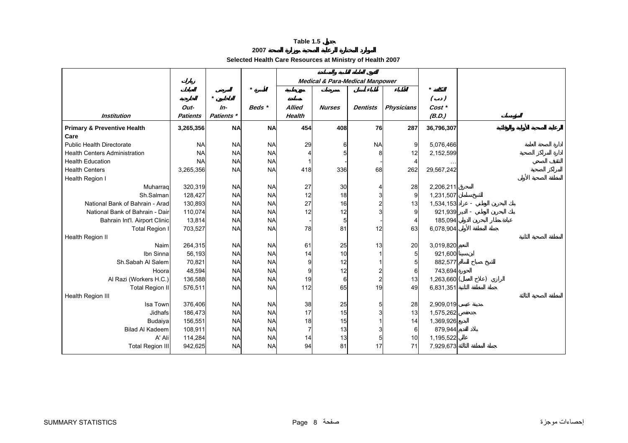## **2007**

## **Selected Health Care Resources at Ministry of Health 2007**

<span id="page-7-0"></span>

|                                                |                 |            | $\star$   |               |               | <b>Medical &amp; Para-Medical Manpower</b> |                   | $\star$    |  |
|------------------------------------------------|-----------------|------------|-----------|---------------|---------------|--------------------------------------------|-------------------|------------|--|
|                                                |                 | $\star$    |           |               |               |                                            |                   | $($ .)     |  |
|                                                | Out-            | In-        | Beds *    | <b>Allied</b> | <b>Nurses</b> | <b>Dentists</b>                            | <b>Physicians</b> | Cost *     |  |
| <b>Institution</b>                             | <b>Patients</b> | Patients * |           | <b>Health</b> |               |                                            |                   | (B.D.)     |  |
| <b>Primary &amp; Preventive Health</b><br>Care | 3,265,356       | <b>NA</b>  | <b>NA</b> | 454           | 408           | 76                                         | 287               | 36,796,307 |  |
| <b>Public Health Directorate</b>               | <b>NA</b>       | <b>NA</b>  | <b>NA</b> | 29            | 6             | <b>NA</b>                                  | 9                 | 5,076,466  |  |
| <b>Health Centers Administration</b>           | <b>NA</b>       | <b>NA</b>  | <b>NA</b> |               |               | 8                                          | 12                | 2,152,599  |  |
| <b>Health Education</b>                        | <b>NA</b>       | <b>NA</b>  | <b>NA</b> |               |               |                                            | 4                 |            |  |
| <b>Health Centers</b>                          | 3,265,356       | <b>NA</b>  | <b>NA</b> | 418           | 336           | 68                                         | 262               | 29,567,242 |  |
| Health Region I                                |                 |            |           |               |               |                                            |                   |            |  |
| Muharrag                                       | 320,319         | <b>NA</b>  | <b>NA</b> | 27            | 30            | 4                                          | 28                | 2,206,211  |  |
| Sh.Salman                                      | 128,427         | <b>NA</b>  | <b>NA</b> | 12            | 18            | 3                                          | 9                 | 1,231,507  |  |
| National Bank of Bahrain - Arad                | 130,893         | <b>NA</b>  | <b>NA</b> | 27            | 16            | 2                                          | 13                | 1,534,153  |  |
| National Bank of Bahrain - Dair                | 110,074         | <b>NA</b>  | <b>NA</b> | 12            | 12            |                                            | 9                 | 921,939    |  |
| Bahrain Int'l. Airport Clinic                  | 13,814          | <b>NA</b>  | <b>NA</b> |               | 5             |                                            |                   | 185,094    |  |
| <b>Total Region I</b>                          | 703,527         | <b>NA</b>  | <b>NA</b> | 78            | 81            | 12                                         | 63                | 6,078,904  |  |
| Health Region II                               |                 |            |           |               |               |                                            |                   |            |  |
| Naim                                           | 264,315         | <b>NA</b>  | <b>NA</b> | 61            | 25            | 13                                         | 20                | 3,019,820  |  |
| Ibn Sinna                                      | 56,193          | <b>NA</b>  | <b>NA</b> | 14            | 10            |                                            | 5 <sup>1</sup>    | 921,600    |  |
| Sh.Sabah Al Salem                              | 70,821          | <b>NA</b>  | <b>NA</b> | 9             | 12            |                                            | 5                 | 882,577    |  |
| Hoora                                          | 48,594          | <b>NA</b>  | <b>NA</b> | 9             | 12            | $\overline{2}$                             | 6                 | 743,694    |  |
| Al Razi (Workers H.C.)                         | 136,588         | <b>NA</b>  | <b>NA</b> | 19            | 6             | $\overline{2}$                             | 13                | 1,263,660  |  |
| <b>Total Region II</b>                         | 576,511         | <b>NA</b>  | <b>NA</b> | 112           | 65            | 19                                         | 49                | 6,831,351  |  |
| Health Region III                              |                 |            |           |               |               |                                            |                   |            |  |
| Isa Town                                       | 376,406         | <b>NA</b>  | <b>NA</b> | 38            | 25            | 5                                          | 28                | 2,909,019  |  |
| Jidhafs                                        | 186,473         | <b>NA</b>  | <b>NA</b> | 17            | 15            | 3                                          | 13                | 1,575,262  |  |
| Budaiya                                        | 156,551         | <b>NA</b>  | <b>NA</b> | 18            | 15            |                                            | 14                | 1,369,926  |  |
| <b>Bilad Al Kadeem</b>                         | 108,911         | <b>NA</b>  | <b>NA</b> |               | 13            |                                            | 6                 | 879,944    |  |
| A' Ali                                         | 114,284         | <b>NA</b>  | <b>NA</b> | 14            | 13            | 5                                          | 10                | 1,195,522  |  |
| <b>Total Region III</b>                        | 942,625         | <b>NA</b>  | <b>NA</b> | 94            | 81            | 17                                         | 71                | 7,929,673  |  |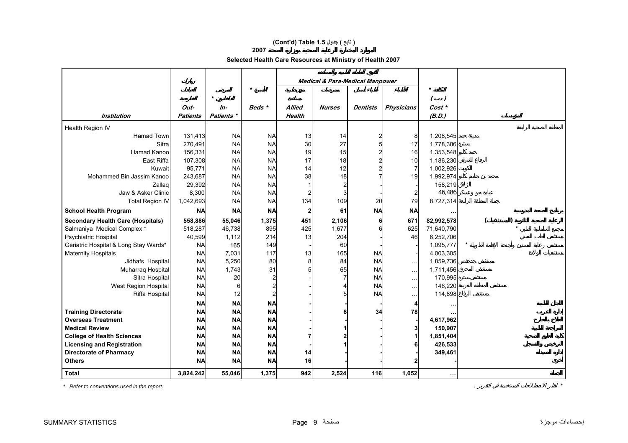## **(Cont'd) Table 1.5 جدول ) تابع(**

## **2007**

**Selected Health Care Resources at Ministry of Health 2007** 

|                                                                        |                        |                        |                        |               | <b>Medical &amp; Para-Medical Manpower</b> |                                           |                   |                         |  |  |
|------------------------------------------------------------------------|------------------------|------------------------|------------------------|---------------|--------------------------------------------|-------------------------------------------|-------------------|-------------------------|--|--|
|                                                                        |                        | $\star$                | $\star$                |               |                                            |                                           |                   | $\star$                 |  |  |
|                                                                        | Out-                   | $In-$                  | Beds *                 | <b>Allied</b> | <b>Nurses</b>                              | <b>Dentists</b>                           | <b>Physicians</b> | $( \cdot )$<br>$Cost *$ |  |  |
| Institution                                                            | <b>Patients</b>        | Patients *             |                        | <b>Health</b> |                                            |                                           |                   | (B.D.)                  |  |  |
|                                                                        |                        |                        |                        |               |                                            |                                           |                   |                         |  |  |
| Health Region IV                                                       |                        |                        |                        |               |                                            |                                           |                   |                         |  |  |
| <b>Hamad Town</b><br>Sitra                                             | 131,413                | <b>NA</b><br><b>NA</b> | <b>NA</b><br><b>NA</b> | 13<br>30      | 14<br>27                                   | $\overline{\mathbf{c}}$<br>$\overline{5}$ | 8<br>17           | 1,208,545               |  |  |
| Hamad Kanoo                                                            | 270,491<br>156,331     | <b>NA</b>              | <b>NA</b>              | 19            | 15                                         | $\overline{c}$                            | 16                | 1,778,386<br>1,353,548  |  |  |
| East Riffa                                                             | 107,308                | <b>NA</b>              | <b>NA</b>              | 17            | 18                                         | $\overline{c}$                            | 10                | 1,186,230               |  |  |
| Kuwait                                                                 | 95,771                 | <b>NA</b>              | <b>NA</b>              | 14            | 12                                         | $\overline{\mathbf{c}}$                   | 7                 | 1,002,926               |  |  |
| Mohammed Bin Jassim Kanoo                                              | 243,687                | <b>NA</b>              | <b>NA</b>              | 38            | 18                                         | 7                                         | 19                | 1,992,974               |  |  |
| Zallag                                                                 | 29,392                 | <b>NA</b>              | <b>NA</b>              |               |                                            |                                           |                   | 158,219                 |  |  |
| Jaw & Asker Clinic                                                     | 8,300                  | <b>NA</b>              | <b>NA</b>              |               |                                            |                                           |                   | 46,486                  |  |  |
| <b>Total Region IV</b>                                                 | 1,042,693              | <b>NA</b>              | <b>NA</b>              | 134           | 109                                        | 20                                        | 79                | 8,727,314               |  |  |
|                                                                        | <b>NA</b>              | <b>NA</b>              | <b>NA</b>              | 2             | 61                                         | <b>NA</b>                                 | <b>NA</b>         |                         |  |  |
| <b>School Health Program</b>                                           |                        |                        |                        |               |                                            |                                           |                   |                         |  |  |
| <b>Secondary Health Care (Hospitals)</b>                               | 558,886                | 55,046                 | 1,375                  | 451           | 2,106                                      | 6                                         | 671               | 82,992,578              |  |  |
| Salmaniya Medical Complex *                                            | 518,287                | 46,738                 | 895                    | 425           | 1,677                                      | 6                                         | 625               | 71,640,790              |  |  |
| Psychiatric Hospital                                                   | 40,599                 | 1,112                  | 214                    | 13            | 204                                        |                                           | 46                | 6,252,706               |  |  |
| Geriatric Hospital & Long Stay Wards*                                  | <b>NA</b>              | 165                    | 149                    |               | 60                                         |                                           |                   | 1,095,777               |  |  |
| <b>Maternity Hospitals</b>                                             | <b>NA</b>              | 7,031                  | 117                    | 13            | 165                                        | <b>NA</b>                                 |                   | 4,003,305               |  |  |
| Jidhafs Hospital                                                       | <b>NA</b>              | 5,250                  | 80                     | 8             | 84                                         | <b>NA</b>                                 | $\sim$            | 1,859,736               |  |  |
| Muharraq Hospital<br>Sitra Hospital                                    | <b>NA</b><br><b>NA</b> | 1,743<br>20            | 31                     | 5             | 65                                         | <b>NA</b><br><b>NA</b>                    | $\ddotsc$         | 1,711,456<br>170,995    |  |  |
|                                                                        | <b>NA</b>              | 6                      |                        |               |                                            | <b>NA</b>                                 | $\ddotsc$         | 146,220                 |  |  |
| West Region Hospital<br>Riffa Hospital                                 | <b>NA</b>              | 12                     |                        |               |                                            | <b>NA</b>                                 | $\ddotsc$         | 114,898                 |  |  |
|                                                                        |                        |                        |                        |               |                                            |                                           | $\ddotsc$         |                         |  |  |
|                                                                        | <b>NA</b>              | <b>NA</b>              | <b>NA</b>              |               |                                            |                                           |                   |                         |  |  |
| <b>Training Directorate</b>                                            | <b>NA</b>              | <b>NA</b>              | <b>NA</b>              |               |                                            | 34                                        | 78                |                         |  |  |
| <b>Overseas Treatment</b><br><b>Medical Review</b>                     | <b>NA</b>              | <b>NA</b><br><b>NA</b> | <b>NA</b><br><b>NA</b> |               |                                            |                                           |                   | 4,617,962               |  |  |
|                                                                        | <b>NA</b>              | <b>NA</b>              | <b>NA</b>              |               |                                            |                                           |                   | 150,907                 |  |  |
| <b>College of Health Sciences</b><br><b>Licensing and Registration</b> | <b>NA</b><br><b>NA</b> | <b>NA</b>              | <b>NA</b>              |               |                                            |                                           |                   | 1,851,404<br>426,533    |  |  |
| <b>Directorate of Pharmacy</b>                                         | <b>NA</b>              | <b>NA</b>              | <b>NA</b>              | 14            |                                            |                                           |                   | 349,461                 |  |  |
| <b>Others</b>                                                          | <b>NA</b>              | <b>NA</b>              | <b>NA</b>              | 16            |                                            |                                           |                   |                         |  |  |
|                                                                        |                        |                        |                        |               |                                            |                                           |                   |                         |  |  |
| <b>Total</b>                                                           | 3,824,242              | 55,046                 | 1,375                  | 942           | 2,524                                      | 116                                       | 1,052             | $\cdots$                |  |  |

*\* Refer to conventions used in the report.* . *\**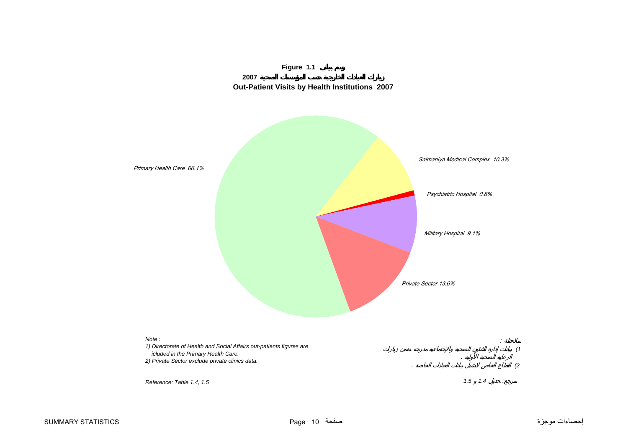

<span id="page-9-0"></span>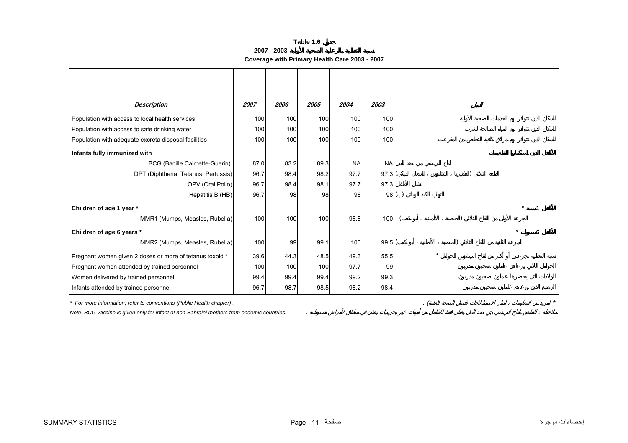**2007 - 2003Coverage with Primary Health Care 2003 - 2007**

<span id="page-10-0"></span>

| <b>Description</b>                                                    | 2007 | 2006 | 2005 | 2004      | 2003      |           |  |
|-----------------------------------------------------------------------|------|------|------|-----------|-----------|-----------|--|
| Population with access to local health services                       | 100  | 100  | 100  | 100       | 100       |           |  |
| Population with access to safe drinking water                         | 100  | 100  | 100  | 100       | 100       |           |  |
| Population with adequate excreta disposal facilities                  | 100  | 100  | 100  | 100       | 100       |           |  |
| Infants fully immunized with                                          |      |      |      |           |           |           |  |
| <b>BCG (Bacille Calmette-Guerin)</b>                                  | 87.0 | 83.2 | 89.3 | <b>NA</b> | <b>NA</b> |           |  |
| DPT (Diphtheria, Tetanus, Pertussis)                                  | 96.7 | 98.4 | 98.2 | 97.7      | 97.3(     |           |  |
| OPV (Oral Polio)                                                      | 96.7 | 98.4 | 98.1 | 97.7      | 97.3      |           |  |
| Hepatitis B (HB)                                                      | 96.7 | 98   | 98   | 98        |           | 98()      |  |
| Children of age 1 year *                                              |      |      |      |           |           |           |  |
| MMR1 (Mumps, Measles, Rubella)                                        | 100  | 100  | 100  | 98.8      | 100       |           |  |
| Children of age 6 years *                                             |      |      |      |           |           |           |  |
| MMR2 (Mumps, Measles, Rubella)                                        | 100  | 99   | 99.1 | 100       | 99.5(     |           |  |
| Pregnant women given 2 doses or more of tetanus toxoid *              | 39.6 | 44.3 | 48.5 | 49.3      | 55.5      |           |  |
| Pregnant women attended by trained personnel                          | 100  | 100  | 100  | 97.7      | 99        |           |  |
| Women delivered by trained personnel                                  | 99.4 | 99.4 | 99.4 | 99.2      | 99.3      |           |  |
| Infants attended by trained personnel                                 | 96.7 | 98.7 | 98.5 | 98.2      | 98.4      |           |  |
| * For more information, refer to conventions (Public Health chapter). |      |      |      |           |           | $\cdot$ ( |  |

*Note: BCG vaccine is given only for infant of non-Bahraini mothers from endemic countries.* . :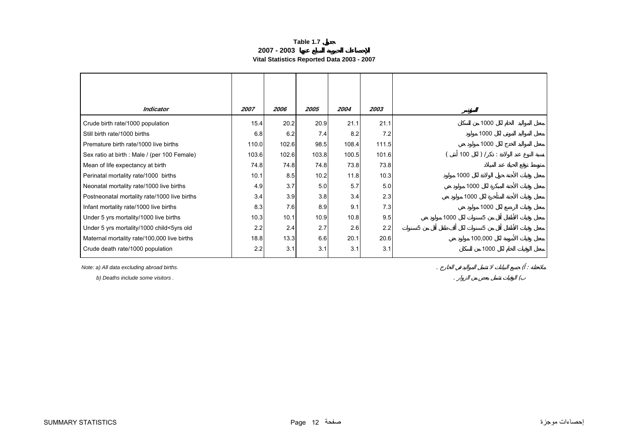### **Table 1.7 2007 - 2003Vital Statistics Reported Data 2003 - 2007**

<span id="page-11-0"></span>

| <b>Indicator</b>                             | 2007  | 2006  | 2005  | 2004  | 2003  |                                    |
|----------------------------------------------|-------|-------|-------|-------|-------|------------------------------------|
| Crude birth rate/1000 population             | 15.4  | 20.2  | 20.9  | 21.1  | 21.1  | 1000                               |
| Still birth rate/1000 births                 | 6.8   | 6.2   | 7.4   | 8.2   | 7.2   | 1000                               |
| Premature birth rate/1000 live births        | 110.0 | 102.6 | 98.5  | 108.4 | 111.5 | 1000                               |
| Sex ratio at birth : Male / (per 100 Female) | 103.6 | 102.6 | 103.8 | 100.5 | 101.6 | ) /<br>100<br>$\ddot{\phantom{1}}$ |
| Mean of life expectancy at birth             | 74.8  | 74.8  | 74.8  | 73.8  | 73.8  |                                    |
| Perinatal mortality rate/1000 births         | 10.1  | 8.5   | 10.2  | 11.8  | 10.3  | 1000                               |
| Neonatal mortality rate/1000 live births     | 4.9   | 3.7   | 5.0   | 5.7   | 5.0   | 1000                               |
| Postneonatal mortality rate/1000 live births | 3.4   | 3.9   | 3.8   | 3.4   | 2.3   | 1000                               |
| Infant mortality rate/1000 live births       | 8.3   | 7.6   | 8.9   | 9.1   | 7.3   | 1000                               |
| Under 5 yrs mortality/1000 live births       | 10.3  | 10.1  | 10.9  | 10.8  | 9.5   | 5<br>1000                          |
| Under 5 yrs mortality/1000 child<5yrs old    | 2.2   | 2.4   | 2.7   | 2.6   | 2.2   | 5<br>5                             |
| Maternal mortality rate/100,000 live births  | 18.8  | 13.3  | 6.6   | 20.1  | 20.6  | 100,000                            |
| Crude death rate/1000 population             | 2.2   | 3.1   | 3.1   | 3.1   | 3.1   | 1000                               |

*Note: a) All data excluding abroad births.* . ( :

 *b) Deaths include some visitors .* . (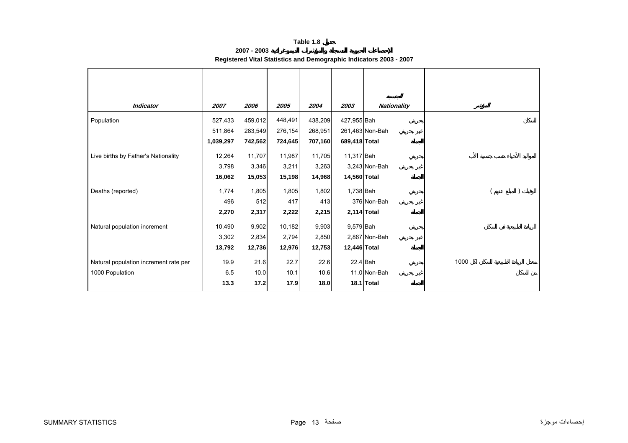| 2007 - 2003                                                        |  |
|--------------------------------------------------------------------|--|
| Registered Vital Statistics and Demographic Indicators 2003 - 2007 |  |

<span id="page-12-0"></span>

| <b>Indicator</b>                      | 2007      | 2006    | 2005    | 2004    | 2003          | Nationality     |      |
|---------------------------------------|-----------|---------|---------|---------|---------------|-----------------|------|
| Population                            | 527,433   | 459,012 | 448,491 | 438,209 | 427,955 Bah   |                 |      |
|                                       | 511,864   | 283,549 | 276,154 | 268,951 |               | 261,463 Non-Bah |      |
|                                       | 1,039,297 | 742,562 | 724,645 | 707,160 | 689,418 Total |                 |      |
| Live births by Father's Nationality   | 12,264    | 11,707  | 11,987  | 11,705  | 11,317 Bah    |                 |      |
|                                       | 3,798     | 3,346   | 3,211   | 3,263   |               | 3,243 Non-Bah   |      |
|                                       | 16,062    | 15,053  | 15,198  | 14,968  | 14,560 Total  |                 |      |
| Deaths (reported)                     | 1,774     | 1,805   | 1,805   | 1,802   | 1,738 Bah     |                 |      |
|                                       | 496       | 512     | 417     | 413     |               | 376 Non-Bah     |      |
|                                       | 2,270     | 2,317   | 2,222   | 2,215   |               | 2,114 Total     |      |
| Natural population increment          | 10,490    | 9,902   | 10,182  | 9,903   | 9,579 Bah     |                 |      |
|                                       | 3,302     | 2,834   | 2,794   | 2,850   |               | 2,867 Non-Bah   |      |
|                                       | 13,792    | 12,736  | 12,976  | 12,753  | 12,446 Total  |                 |      |
| Natural population increment rate per | 19.9      | 21.6    | 22.7    | 22.6    |               | $22.4$ Bah      | 1000 |
| 1000 Population                       | 6.5       | 10.0    | 10.1    | 10.6    |               | 11.0 Non-Bah    |      |
|                                       | 13.3      | 17.2    | 17.9    | 18.0    |               | 18.1 Total      |      |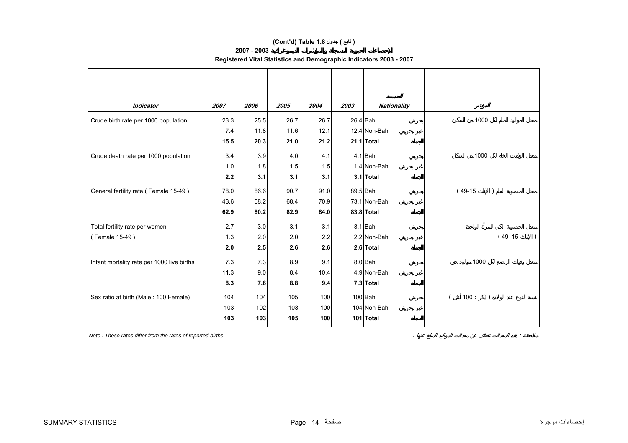## **(Cont'd) Table 1.8 جدول ) تابع(**

## **2007 - 2003**

**Registered Vital Statistics and Demographic Indicators 2003 - 2007**

| <b>Indicator</b>                           | 2007 | 2006 | 2005 | 2004 | 2003 | <b>Nationality</b> |           |
|--------------------------------------------|------|------|------|------|------|--------------------|-----------|
| Crude birth rate per 1000 population       | 23.3 | 25.5 | 26.7 | 26.7 |      | 26.4 Bah           | 1000      |
|                                            | 7.4  | 11.8 | 11.6 | 12.1 |      | 12.4 Non-Bah       |           |
|                                            | 15.5 | 20.3 | 21.0 | 21.2 |      | 21.1 Total         |           |
| Crude death rate per 1000 population       | 3.4  | 3.9  | 4.0  | 4.1  |      | $4.1$ Bah          | 1000      |
|                                            | 1.0  | 1.8  | 1.5  | 1.5  |      | 1.4 Non-Bah        |           |
|                                            | 2.2  | 3.1  | 3.1  | 3.1  |      | 3.1 Total          |           |
| General fertility rate (Female 15-49)      | 78.0 | 86.6 | 90.7 | 91.0 |      | 89.5 Bah           | $(49-15)$ |
|                                            | 43.6 | 68.2 | 68.4 | 70.9 |      | 73.1 Non-Bah       |           |
|                                            | 62.9 | 80.2 | 82.9 | 84.0 |      | 83.8 Total         |           |
| Total fertility rate per women             | 2.7  | 3.0  | 3.1  | 3.1  |      | $3.1$ Bah          |           |
| (Female 15-49)                             | 1.3  | 2.0  | 2.0  | 2.2  |      | 2.2 Non-Bah        | $(49-15)$ |
|                                            | 2.0  | 2.5  | 2.6  | 2.6  |      | 2.6 Total          |           |
| Infant mortality rate per 1000 live births | 7.3  | 7.3  | 8.9  | 9.1  |      | 8.0 Bah            | 1000      |
|                                            | 11.3 | 9.0  | 8.4  | 10.4 |      | 4.9 Non-Bah        |           |
|                                            | 8.3  | 7.6  | 8.8  | 9.4  |      | 7.3 Total          |           |
| Sex ratio at birth (Male: 100 Female)      | 104  | 104  | 105  | 100  |      | $100$ Bah          | 100:      |
|                                            | 103  | 102  | 103  | 100  |      | 104 Non-Bah        |           |
|                                            | 103  | 103  | 105  | 100  |      | 101 Total          |           |

*Note : These rates differ from the rates of reported births.* . :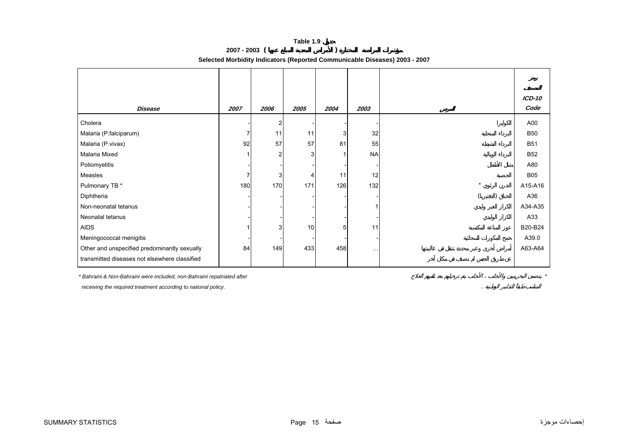**2007 - 2003 ( )** 

**Selected Morbidity Indicators (Reported Communicable Diseases) 2003 - 2007**

<span id="page-14-0"></span>

|                                               |      |                |              |      |           |         | <b>ICD-10</b> |
|-----------------------------------------------|------|----------------|--------------|------|-----------|---------|---------------|
| <b>Disease</b>                                | 2007 | 2006           | 2005         | 2004 | 2003      |         | Code          |
| Cholera                                       |      | $\overline{2}$ |              |      |           |         | A00           |
| Malaria (P.falciparum)                        |      | 11             | 11           | 3    | 32        |         | <b>B50</b>    |
| Malaria (P.vivax)                             | 92   | 57             | 57           | 81   | 55        |         | <b>B51</b>    |
| Malaria Mixed                                 |      | $\overline{2}$ | $\mathbf{3}$ |      | <b>NA</b> |         | <b>B52</b>    |
| Poliomyelitis                                 |      |                |              |      |           |         | A80           |
| Measles                                       | 7    | 3              | 4            | 11   | 12        |         | <b>B05</b>    |
| Pulmonary TB *                                | 180  | 170            | 171          | 126  | 132       | $\star$ | A15-A16       |
| Diphtheria                                    |      |                |              |      |           |         | A36           |
| Non-neonatal tetanus                          |      |                |              |      |           |         | A34-A35       |
| Neonatal tetanus                              |      |                |              |      |           |         | A33           |
| <b>AIDS</b>                                   |      | 3              | 10           | 5    | 11        |         | B20-B24       |
| Meningococcal menigitis                       |      |                |              |      |           |         | A39.0         |
| Other and unspecified predominantly sexually  | 84   | 149            | 433          | 458  | $\cdots$  |         | A63-A64       |
| transmitted diseases not elsewhere classified |      |                |              |      |           |         |               |

*\* Bahraini & Non-Bahraini were included, non-Bahraini repatriated after \**

 *receiving the required treatment according to national policy.* .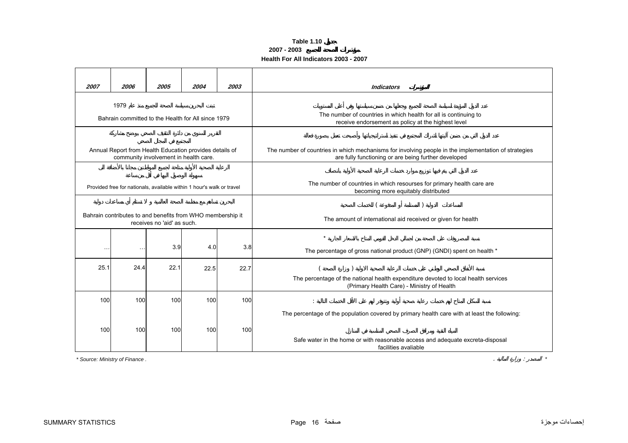### **Table 1.10 2007 - 2003 Health For All Indicators 2003 - 2007**

<span id="page-15-0"></span>

| 2007     | 2006                                                                  | 2005                                  | 2004 | 2003 |                                                                                                        |  |  |  |  |
|----------|-----------------------------------------------------------------------|---------------------------------------|------|------|--------------------------------------------------------------------------------------------------------|--|--|--|--|
|          |                                                                       |                                       |      |      | <b>Indicators</b>                                                                                      |  |  |  |  |
|          | 1979                                                                  |                                       |      |      |                                                                                                        |  |  |  |  |
|          | Bahrain committed to the Health for All since 1979                    |                                       |      |      | The number of countries in which health for all is continuing to                                       |  |  |  |  |
|          |                                                                       |                                       |      |      | receive endorsement as policy at the highest level                                                     |  |  |  |  |
|          |                                                                       |                                       |      |      |                                                                                                        |  |  |  |  |
|          | Annual Report from Health Education provides details of               |                                       |      |      | The number of countries in which mechanisms for involving people in the implementation of strategies   |  |  |  |  |
|          |                                                                       | community involvement in health care. |      |      | are fully functioning or are being further developed                                                   |  |  |  |  |
|          |                                                                       |                                       |      |      |                                                                                                        |  |  |  |  |
|          |                                                                       |                                       |      |      | The number of countries in which resourses for primary health care are                                 |  |  |  |  |
|          | Provided free for nationals, available within 1 hour's walk or travel |                                       |      |      | becoming more equitably distributed                                                                    |  |  |  |  |
|          |                                                                       |                                       |      |      |                                                                                                        |  |  |  |  |
|          | Bahrain contributes to and benefits from WHO membership it            |                                       |      |      |                                                                                                        |  |  |  |  |
|          |                                                                       | receives no 'aid' as such.            |      |      | The amount of international aid received or given for health                                           |  |  |  |  |
|          |                                                                       |                                       |      |      | $\star$                                                                                                |  |  |  |  |
| $\ldots$ | $\sim$                                                                | 3.9                                   | 4.0  | 3.8  |                                                                                                        |  |  |  |  |
|          |                                                                       |                                       |      |      | The percentage of gross national product (GNP) (GNDI) spent on health *                                |  |  |  |  |
| 25.1     | 24.4                                                                  | 22.1                                  | 22.5 | 22.7 |                                                                                                        |  |  |  |  |
|          |                                                                       |                                       |      |      | The percentage of the national health expenditure devoted to local health services                     |  |  |  |  |
|          |                                                                       |                                       |      |      | (Primary Health Care) - Ministry of Health                                                             |  |  |  |  |
| 100      | 100                                                                   | 100                                   | 100  | 100  |                                                                                                        |  |  |  |  |
|          |                                                                       |                                       |      |      | The percentage of the population covered by primary health care with at least the following:           |  |  |  |  |
|          |                                                                       |                                       |      |      |                                                                                                        |  |  |  |  |
| 100      | 100                                                                   | 100                                   | 100  | 100  |                                                                                                        |  |  |  |  |
|          |                                                                       |                                       |      |      | Safe water in the home or with reasonable access and adequate excreta-disposal<br>facilities avaliable |  |  |  |  |
|          | * Source: Ministry of Finance.                                        |                                       |      |      |                                                                                                        |  |  |  |  |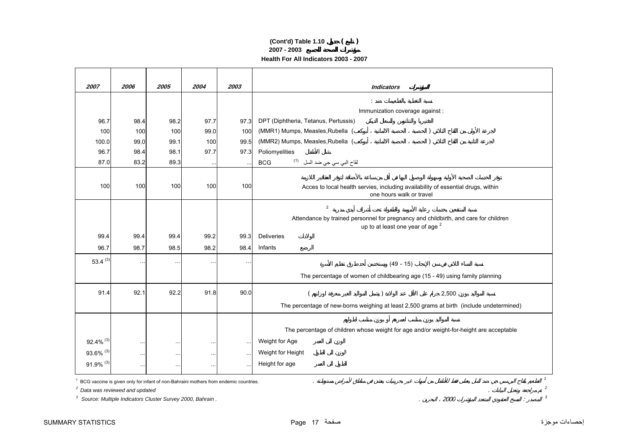## **2007 - 2003 Health For All Indicators 2003 - 2007 (Cont'd) Table 1.10 ( )**

| 2007       | 2006                   | 2005      | 2004      | 2003      |                                                                                                              |  |  |  |  |
|------------|------------------------|-----------|-----------|-----------|--------------------------------------------------------------------------------------------------------------|--|--|--|--|
|            |                        |           |           |           | <b>Indicators</b>                                                                                            |  |  |  |  |
|            |                        |           |           |           |                                                                                                              |  |  |  |  |
|            |                        |           |           |           | Immunization coverage against :                                                                              |  |  |  |  |
| 96.7       | 98.4                   | 98.2      | 97.7      | 97.3      | DPT (Diphtheria, Tetanus, Pertussis)                                                                         |  |  |  |  |
| 100        | 100                    | 100       | 99.0      | 100       | (MMR1) Mumps, Measles, Rubella (                                                                             |  |  |  |  |
| 100.0      | 99.0                   | 99.1      | 100       | 99.5      | (MMR2) Mumps, Measles, Rubella (                                                                             |  |  |  |  |
| 96.7       | 98.4                   | 98.1      | 97.7      | 97.3      | Poliomyelities                                                                                               |  |  |  |  |
| 87.0       | 83.2                   | 89.3      | $\cdots$  |           | لقاح الب <i>ي</i> سي جي ضد السل <sup>(1)</sup><br><b>BCG</b>                                                 |  |  |  |  |
|            |                        |           |           |           |                                                                                                              |  |  |  |  |
| 100        | 100                    | 100       | 100       | 100       | Acces to local health servies, including availability of essential drugs, within<br>one hours walk or travel |  |  |  |  |
|            |                        |           |           |           | $\overline{2}$                                                                                               |  |  |  |  |
|            |                        |           |           |           | Attendance by trained personnel for pregnancy and childbirth, and care for children                          |  |  |  |  |
|            |                        |           |           |           | up to at least one year of age <sup>2</sup>                                                                  |  |  |  |  |
| 99.4       | 99.4                   | 99.4      | 99.2      | 99.3      | Deliveries                                                                                                   |  |  |  |  |
| 96.7       | 98.7                   | 98.5      | 98.2      | 98.4      | Infants                                                                                                      |  |  |  |  |
| 53.4 $(3)$ | $\ddot{\phantom{1}}$ . | $\sim$    | $\ddotsc$ |           | $(49 - 15)$                                                                                                  |  |  |  |  |
|            |                        |           |           |           | The percentage of women of childbearing age (15 - 49) using family planning                                  |  |  |  |  |
| 91.4       | 92.1                   | 92.2      | 91.8      | 90.0      | 2,500                                                                                                        |  |  |  |  |
|            |                        |           |           |           | The percentage of new-borns weighing at least 2,500 grams at birth (include undetermined)                    |  |  |  |  |
|            |                        |           |           |           |                                                                                                              |  |  |  |  |
|            |                        |           |           |           |                                                                                                              |  |  |  |  |
|            |                        |           |           |           | The percentage of children whose weight for age and/or weight-for-height are acceptable                      |  |  |  |  |
| 92.4% (3)  | $\ddotsc$              | $\ddotsc$ | $\ldots$  | $\ddotsc$ | Weight for Age                                                                                               |  |  |  |  |
| 93.6% (3)  | $\cdots$               | $\cdots$  | $\cdots$  | $\cdots$  | Weight for Height                                                                                            |  |  |  |  |
| 91.9% (3)  | $\cdots$               | $\cdots$  | $\ldots$  |           | Height for age                                                                                               |  |  |  |  |

<sup>3</sup> Source: Multiple Indicators Cluster Survey 2000, Bahrain . **2000** *3* 2000 *3* 2000 *3* 2000 *3* 2000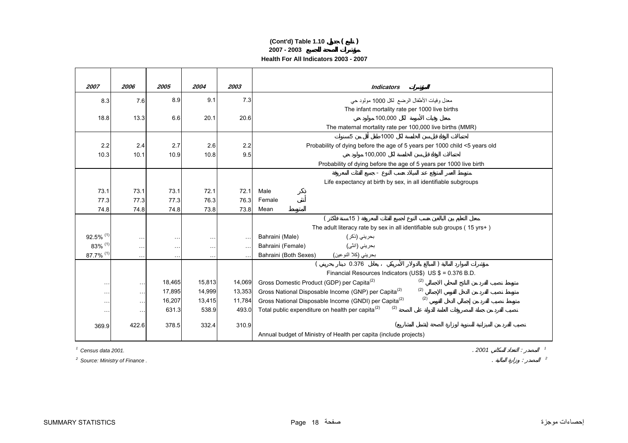## **(Cont'd) Table 1.10 ( ) 2007 - 2003 Health For All Indicators 2003 - 2007**

| 2007                    | 2006          | 2005   | 2004          | 2003      | <b>Indicators</b>                                                          |  |
|-------------------------|---------------|--------|---------------|-----------|----------------------------------------------------------------------------|--|
| 8.3                     | 7.6           | 8.9    | 9.1           | 7.3       | معدل وفيات الأطفال الرضع لكل 1000 مولود حي                                 |  |
|                         |               |        |               |           | The infant mortality rate per 1000 live births                             |  |
| 18.8                    | 13.3          | 6.6    | 20.1          | 20.6      | 100.000                                                                    |  |
|                         |               |        |               |           | The maternal mortality rate per 100,000 live births (MMR)                  |  |
|                         |               |        |               |           | 5<br>1000                                                                  |  |
| 2.2                     | 2.4           | 2.7    | 2.6           | 2.2       | Probability of dying before the age of 5 years per 1000 child <5 years old |  |
| 10.3                    | 10.1          | 10.9   | 10.8          | 9.5       | 100.000                                                                    |  |
|                         |               |        |               |           | Probability of dying before the age of 5 years per 1000 live birth         |  |
|                         |               |        |               |           |                                                                            |  |
| 73.1                    | 73.1          | 73.1   | 72.1          | 72.1      | Life expectancy at birth by sex, in all identifiable subgroups<br>Male     |  |
| 77.3                    | 77.3          | 77.3   | 76.3          | 76.3      | Female                                                                     |  |
| 74.8                    | 74.8          | 74.8   | 73.8          | 73.8      | Mean                                                                       |  |
|                         |               |        |               |           | 15)                                                                        |  |
|                         |               |        |               |           | The adult literacy rate by sex in all identifiable sub groups (15 yrs+)    |  |
| $92.5\%$ <sup>(1)</sup> | $\ddotsc$     | .      | $\sim$ $\sim$ | $\ldots$  | Bahraini (Male)<br>بحريني (ذكر )                                           |  |
| 83% (1)                 | $\cdots$      | .      | $\cdots$      | $\ddotsc$ | بحريني (انٹي)<br>Bahraini (Female)                                         |  |
| 87.7% (1)               | $\ddotsc$     |        | $\sim$ $\sim$ |           | Bahraini (Both Sexes)<br>بحريني (كلا النوعي <u>ن)</u><br>0.376             |  |
|                         |               |        |               |           |                                                                            |  |
|                         |               |        |               |           | Financial Resources Indicators (US\$) US \$ = 0.376 B.D.                   |  |
| $\ddot{\phantom{1}}$ .  | $\sim$ $\sim$ | 18,465 | 15,813        | 14,069    | (2)<br>Gross Domestic Product (GDP) per Capita <sup>(2)</sup>              |  |
| $\sim$ $\sim$           | $\ddotsc$     | 17,895 | 14,999        | 13,353    | (2)<br>Gross National Disposable Income (GNP) per Capita <sup>(2)</sup>    |  |
| $\sim$ $\sim$ $\sim$    | $\ldots$      | 16,207 | 13,415        | 11,784    | (2)<br>Gross National Disposable Income (GNDI) per Capita <sup>(2)</sup>   |  |
| $\sim$ $\sim$ $\sim$    | $\sim$ $\sim$ | 631.3  | 538.9         | 493.0     | (2)<br>Total public expenditure on health per capita <sup>(2)</sup>        |  |
| 369.9                   | 422.6         | 378.5  | 332.4         | 310.9     |                                                                            |  |
|                         |               |        |               |           | Annual budget of Ministry of Health per capita (include projects)          |  |

*1 Census data 2001.*

*2 Source: Ministry of Finance .* . : *<sup>2</sup>*

. *2001* : *<sup>1</sup>*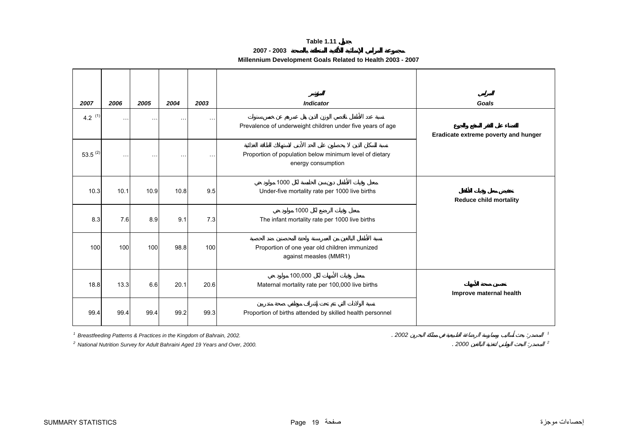**2007 - 2003**

# **Millennium Development Goals Related to Health 2003 - 2007**

<span id="page-18-0"></span>

| 2007         | 2006      | 2005      | 2004      | 2003          | <b>Indicator</b>                                                              | Goals                                |
|--------------|-----------|-----------|-----------|---------------|-------------------------------------------------------------------------------|--------------------------------------|
| 4.2 $(1)$    | $\ddotsc$ | $\ddotsc$ | $\ddotsc$ | $\sim$ $\sim$ | Prevalence of underweight children under five years of age                    | Eradicate extreme poverty and hunger |
| $53.5^{(2)}$ | $\sim$    |           |           | $\sim$ $\sim$ | Proportion of population below minimum level of dietary<br>energy consumption |                                      |
| 10.3         | 10.1      | 10.9      | 10.8      | 9.5           | 1000<br>Under-five mortality rate per 1000 live births                        | <b>Reduce child mortality</b>        |
| 8.3          | 7.6       | 8.9       | 9.1       | 7.3           | 1000<br>The infant mortality rate per 1000 live births                        |                                      |
| 100          | 100       | 100       | 98.8      | 100           | Proportion of one year old children immunized<br>against measles (MMR1)       |                                      |
| 18.8         | 13.3      | 6.6       | 20.1      | 20.6          | 100,000<br>Maternal mortality rate per 100,000 live births                    | Improve maternal health              |
| 99.4         | 99.4      | 99.4      | 99.2      | 99.3          | Proportion of births attended by skilled health personnel                     |                                      |

*1* Breastfeeding Patterns & Practices in the Kingdom of Bahrain, 2002.<br>
<sup>2</sup> National Nutrition Survey for Adult Bahraini Aged 19 Years and Over, 2000. *2 National Nutrition Survey for Adult Bahraini Aged 19 Years and Over, 2000.* . *2000* : *<sup>2</sup>*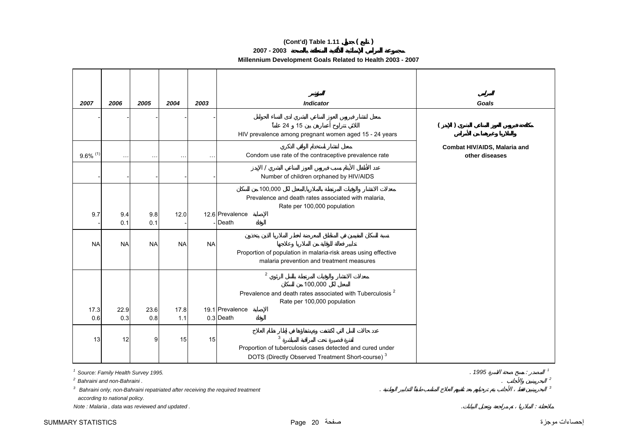## **(Cont'd) Table 1.11 ( )**

**2007 - 2003**

## **Millennium Development Goals Related to Health 2003 - 2007**

| 2007                   | 2006        | 2005        | 2004                 | 2003      | <b>Indicator</b>                                                                                                                          | Goals                                          |
|------------------------|-------------|-------------|----------------------|-----------|-------------------------------------------------------------------------------------------------------------------------------------------|------------------------------------------------|
|                        |             |             |                      |           | 24 15<br>HIV prevalence among pregnant women aged 15 - 24 years                                                                           | $\lambda$                                      |
| $9.6\%$ <sup>(1)</sup> | $\ddotsc$   | $\ddotsc$   | $\sim$ $\sim$ $\sim$ | $\ddotsc$ | Condom use rate of the contraceptive prevalence rate                                                                                      | Combat HIV/AIDS, Malaria and<br>other diseases |
|                        |             |             |                      |           | Number of children orphaned by HIV/AIDS                                                                                                   |                                                |
| 9.7                    | 9.4<br>0.1  | 9.8<br>0.1  | 12.0                 |           | 100,000<br>Prevalence and death rates associated with malaria,<br>Rate per 100,000 population<br>12.6 Prevalence<br>- Death               |                                                |
| <b>NA</b>              | <b>NA</b>   | <b>NA</b>   | <b>NA</b>            | <b>NA</b> | Proportion of population in malaria-risk areas using effective<br>malaria prevention and treatment measures                               |                                                |
|                        |             |             |                      |           | $\overline{2}$<br>100,000<br>Prevalence and death rates associated with Tuberculosis <sup>2</sup><br>Rate per 100,000 population          |                                                |
| 17.3<br>0.6            | 22.9<br>0.3 | 23.6<br>0.8 | 17.8<br>1.1          |           | 19.1 Prevalence<br>0.3 Death                                                                                                              |                                                |
| 13                     | 12          | 9           | 15                   | 15        | $\mathbf{3}$<br>Proportion of tuberculosis cases detected and cured under<br>DOTS (Directly Observed Treatment Short-course) <sup>3</sup> |                                                |

*1 Source: Family Health Survey 1995.* . *1995* : *<sup>1</sup>*

*2 Bahraini and non-Bahraini .*. *<sup>2</sup>*

*3 Bahraini only, non-Bahraini repatriated after receiving the required treatment* . *<sup>3</sup>*

 *according to national policy.*

*Note : Malaria , data was reviewed and updated .* . :